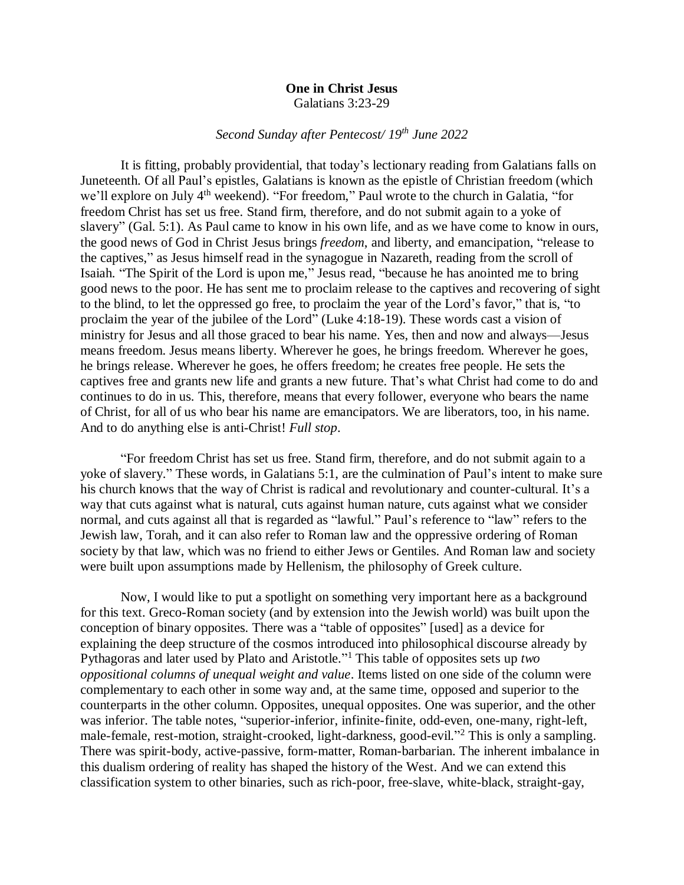## **One in Christ Jesus** Galatians 3:23-29

## *Second Sunday after Pentecost/ 19th June 2022*

It is fitting, probably providential, that today's lectionary reading from Galatians falls on Juneteenth. Of all Paul's epistles, Galatians is known as the epistle of Christian freedom (which we'll explore on July 4<sup>th</sup> weekend). "For freedom," Paul wrote to the church in Galatia, "for freedom Christ has set us free. Stand firm, therefore, and do not submit again to a yoke of slavery" (Gal. 5:1). As Paul came to know in his own life, and as we have come to know in ours, the good news of God in Christ Jesus brings *freedom*, and liberty, and emancipation, "release to the captives," as Jesus himself read in the synagogue in Nazareth, reading from the scroll of Isaiah. "The Spirit of the Lord is upon me," Jesus read, "because he has anointed me to bring good news to the poor. He has sent me to proclaim release to the captives and recovering of sight to the blind, to let the oppressed go free, to proclaim the year of the Lord's favor," that is, "to proclaim the year of the jubilee of the Lord" (Luke 4:18-19). These words cast a vision of ministry for Jesus and all those graced to bear his name. Yes, then and now and always—Jesus means freedom. Jesus means liberty. Wherever he goes, he brings freedom. Wherever he goes, he brings release. Wherever he goes, he offers freedom; he creates free people. He sets the captives free and grants new life and grants a new future. That's what Christ had come to do and continues to do in us. This, therefore, means that every follower, everyone who bears the name of Christ, for all of us who bear his name are emancipators. We are liberators, too, in his name. And to do anything else is anti-Christ! *Full stop*.

"For freedom Christ has set us free. Stand firm, therefore, and do not submit again to a yoke of slavery." These words, in Galatians 5:1, are the culmination of Paul's intent to make sure his church knows that the way of Christ is radical and revolutionary and counter-cultural. It's a way that cuts against what is natural, cuts against human nature, cuts against what we consider normal, and cuts against all that is regarded as "lawful." Paul's reference to "law" refers to the Jewish law, Torah, and it can also refer to Roman law and the oppressive ordering of Roman society by that law, which was no friend to either Jews or Gentiles. And Roman law and society were built upon assumptions made by Hellenism, the philosophy of Greek culture.

Now, I would like to put a spotlight on something very important here as a background for this text. Greco-Roman society (and by extension into the Jewish world) was built upon the conception of binary opposites. There was a "table of opposites" [used] as a device for explaining the deep structure of the cosmos introduced into philosophical discourse already by Pythagoras and later used by Plato and Aristotle." <sup>1</sup> This table of opposites sets up *two oppositional columns of unequal weight and value*. Items listed on one side of the column were complementary to each other in some way and, at the same time, opposed and superior to the counterparts in the other column. Opposites, unequal opposites. One was superior, and the other was inferior. The table notes, "superior-inferior, infinite-finite, odd-even, one-many, right-left, male-female, rest-motion, straight-crooked, light-darkness, good-evil."<sup>2</sup> This is only a sampling. There was spirit-body, active-passive, form-matter, Roman-barbarian. The inherent imbalance in this dualism ordering of reality has shaped the history of the West. And we can extend this classification system to other binaries, such as rich-poor, free-slave, white-black, straight-gay,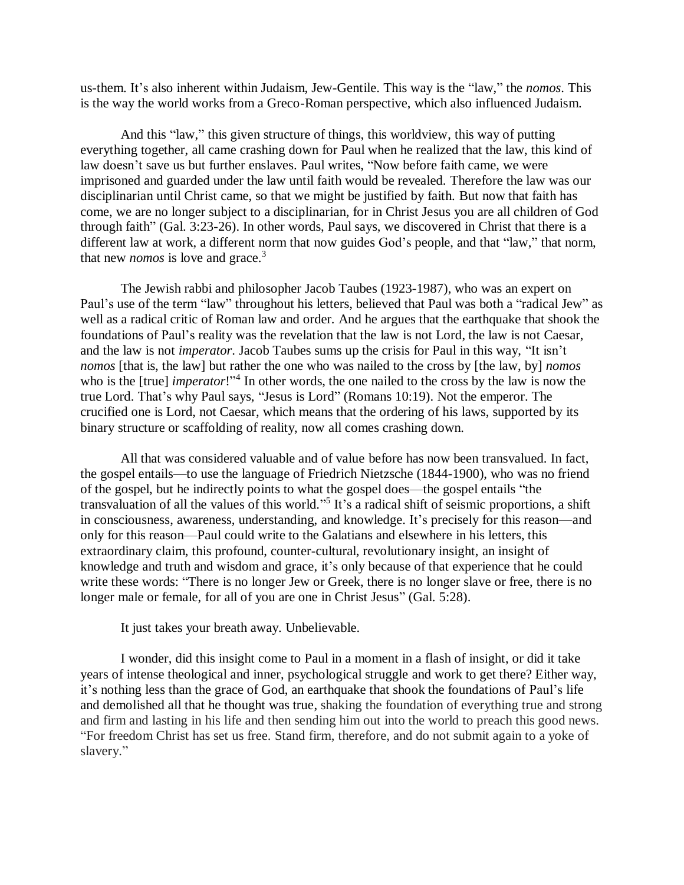us-them. It's also inherent within Judaism, Jew-Gentile. This way is the "law," the *nomos*. This is the way the world works from a Greco-Roman perspective, which also influenced Judaism.

And this "law," this given structure of things, this worldview, this way of putting everything together, all came crashing down for Paul when he realized that the law, this kind of law doesn't save us but further enslaves. Paul writes, "Now before faith came, we were imprisoned and guarded under the law until faith would be revealed. Therefore the law was our disciplinarian until Christ came, so that we might be justified by faith. But now that faith has come, we are no longer subject to a disciplinarian, for in Christ Jesus you are all children of God through faith" (Gal. 3:23-26). In other words, Paul says, we discovered in Christ that there is a different law at work, a different norm that now guides God's people, and that "law," that norm, that new *nomos* is love and grace. 3

The Jewish rabbi and philosopher Jacob Taubes (1923-1987), who was an expert on Paul's use of the term "law" throughout his letters, believed that Paul was both a "radical Jew" as well as a radical critic of Roman law and order. And he argues that the earthquake that shook the foundations of Paul's reality was the revelation that the law is not Lord, the law is not Caesar, and the law is not *imperator*. Jacob Taubes sums up the crisis for Paul in this way, "It isn't *nomos* [that is, the law] but rather the one who was nailed to the cross by [the law, by] *nomos* who is the [true] *imperator*!"<sup>4</sup> In other words, the one nailed to the cross by the law is now the true Lord. That's why Paul says, "Jesus is Lord" (Romans 10:19). Not the emperor. The crucified one is Lord, not Caesar, which means that the ordering of his laws, supported by its binary structure or scaffolding of reality, now all comes crashing down.

All that was considered valuable and of value before has now been transvalued. In fact, the gospel entails—to use the language of Friedrich Nietzsche (1844-1900), who was no friend of the gospel, but he indirectly points to what the gospel does—the gospel entails "the transvaluation of all the values of this world."<sup>5</sup> It's a radical shift of seismic proportions, a shift in consciousness, awareness, understanding, and knowledge. It's precisely for this reason—and only for this reason—Paul could write to the Galatians and elsewhere in his letters, this extraordinary claim, this profound, counter-cultural, revolutionary insight, an insight of knowledge and truth and wisdom and grace, it's only because of that experience that he could write these words: "There is no longer Jew or Greek, there is no longer slave or free, there is no longer male or female, for all of you are one in Christ Jesus" (Gal. 5:28).

It just takes your breath away. Unbelievable.

I wonder, did this insight come to Paul in a moment in a flash of insight, or did it take years of intense theological and inner, psychological struggle and work to get there? Either way, it's nothing less than the grace of God, an earthquake that shook the foundations of Paul's life and demolished all that he thought was true, shaking the foundation of everything true and strong and firm and lasting in his life and then sending him out into the world to preach this good news. "For freedom Christ has set us free. Stand firm, therefore, and do not submit again to a yoke of slavery."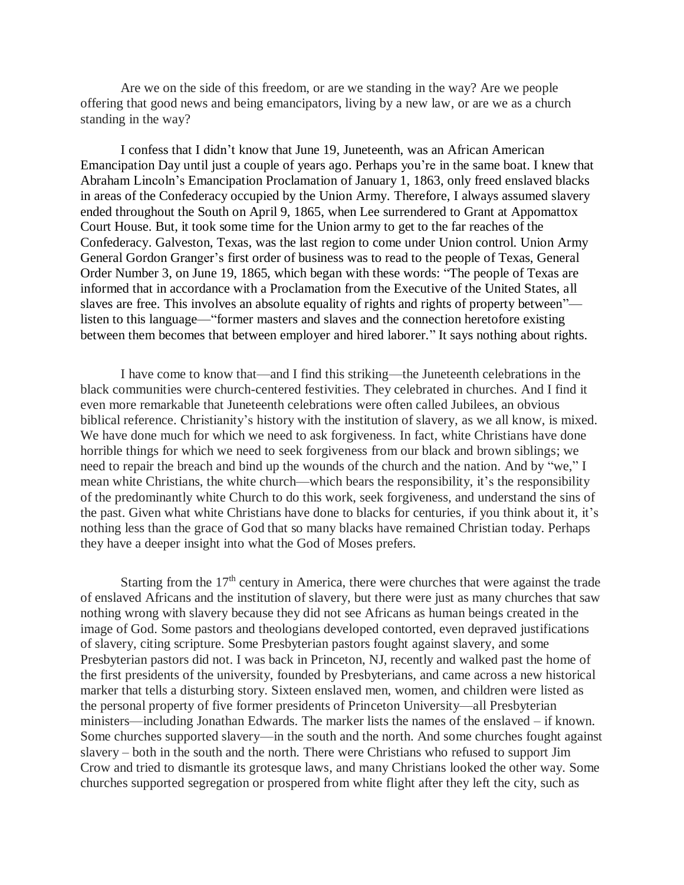Are we on the side of this freedom, or are we standing in the way? Are we people offering that good news and being emancipators, living by a new law, or are we as a church standing in the way?

I confess that I didn't know that June 19, Juneteenth, was an African American Emancipation Day until just a couple of years ago. Perhaps you're in the same boat. I knew that Abraham Lincoln's Emancipation Proclamation of January 1, 1863, only freed enslaved blacks in areas of the Confederacy occupied by the Union Army. Therefore, I always assumed slavery ended throughout the South on April 9, 1865, when Lee surrendered to Grant at Appomattox Court House. But, it took some time for the Union army to get to the far reaches of the Confederacy. Galveston, Texas, was the last region to come under Union control. Union Army General Gordon Granger's first order of business was to read to the people of Texas, General Order Number 3, on June 19, 1865, which began with these words: "The people of Texas are informed that in accordance with a Proclamation from the Executive of the United States, all slaves are free. This involves an absolute equality of rights and rights of property between" listen to this language—"former masters and slaves and the connection heretofore existing between them becomes that between employer and hired laborer." It says nothing about rights.

I have come to know that—and I find this striking—the Juneteenth celebrations in the black communities were church-centered festivities. They celebrated in churches. And I find it even more remarkable that Juneteenth celebrations were often called Jubilees, an obvious biblical reference. Christianity's history with the institution of slavery, as we all know, is mixed. We have done much for which we need to ask forgiveness. In fact, white Christians have done horrible things for which we need to seek forgiveness from our black and brown siblings; we need to repair the breach and bind up the wounds of the church and the nation. And by "we," I mean white Christians, the white church—which bears the responsibility, it's the responsibility of the predominantly white Church to do this work, seek forgiveness, and understand the sins of the past. Given what white Christians have done to blacks for centuries, if you think about it, it's nothing less than the grace of God that so many blacks have remained Christian today. Perhaps they have a deeper insight into what the God of Moses prefers.

Starting from the  $17<sup>th</sup>$  century in America, there were churches that were against the trade of enslaved Africans and the institution of slavery, but there were just as many churches that saw nothing wrong with slavery because they did not see Africans as human beings created in the image of God. Some pastors and theologians developed contorted, even depraved justifications of slavery, citing scripture. Some Presbyterian pastors fought against slavery, and some Presbyterian pastors did not. I was back in Princeton, NJ, recently and walked past the home of the first presidents of the university, founded by Presbyterians, and came across a new historical marker that tells a disturbing story. Sixteen enslaved men, women, and children were listed as the personal property of five former presidents of Princeton University—all Presbyterian ministers—including Jonathan Edwards. The marker lists the names of the enslaved – if known. Some churches supported slavery—in the south and the north. And some churches fought against slavery – both in the south and the north. There were Christians who refused to support Jim Crow and tried to dismantle its grotesque laws, and many Christians looked the other way. Some churches supported segregation or prospered from white flight after they left the city, such as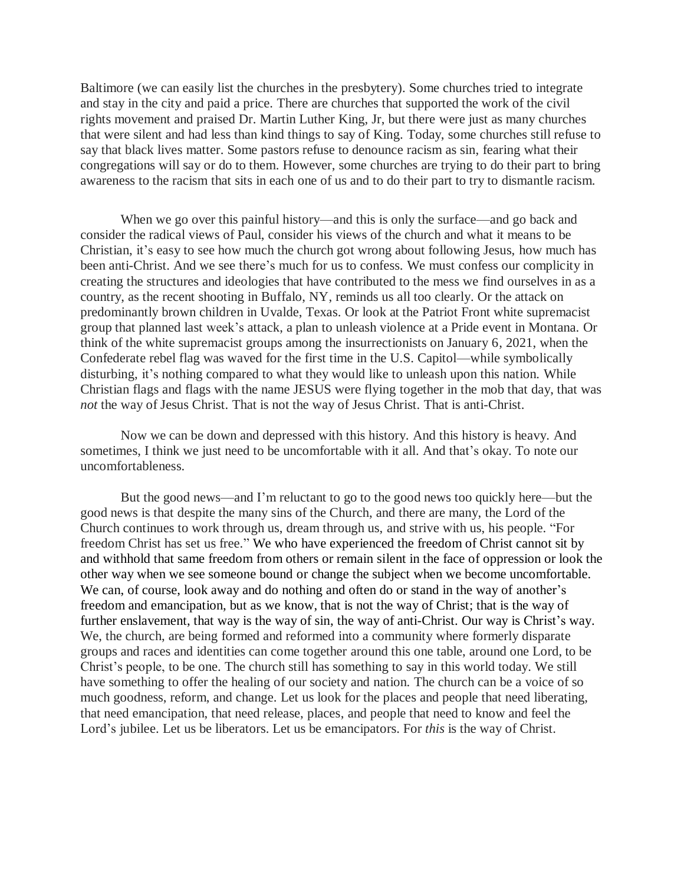Baltimore (we can easily list the churches in the presbytery). Some churches tried to integrate and stay in the city and paid a price. There are churches that supported the work of the civil rights movement and praised Dr. Martin Luther King, Jr, but there were just as many churches that were silent and had less than kind things to say of King. Today, some churches still refuse to say that black lives matter. Some pastors refuse to denounce racism as sin, fearing what their congregations will say or do to them. However, some churches are trying to do their part to bring awareness to the racism that sits in each one of us and to do their part to try to dismantle racism.

When we go over this painful history—and this is only the surface—and go back and consider the radical views of Paul, consider his views of the church and what it means to be Christian, it's easy to see how much the church got wrong about following Jesus, how much has been anti-Christ. And we see there's much for us to confess. We must confess our complicity in creating the structures and ideologies that have contributed to the mess we find ourselves in as a country, as the recent shooting in Buffalo, NY, reminds us all too clearly. Or the attack on predominantly brown children in Uvalde, Texas. Or look at the Patriot Front white supremacist group that planned last week's attack, a plan to unleash violence at a Pride event in Montana. Or think of the white supremacist groups among the insurrectionists on January 6, 2021, when the Confederate rebel flag was waved for the first time in the U.S. Capitol—while symbolically disturbing, it's nothing compared to what they would like to unleash upon this nation. While Christian flags and flags with the name JESUS were flying together in the mob that day, that was *not* the way of Jesus Christ. That is not the way of Jesus Christ. That is anti-Christ.

Now we can be down and depressed with this history. And this history is heavy. And sometimes, I think we just need to be uncomfortable with it all. And that's okay. To note our uncomfortableness.

But the good news—and I'm reluctant to go to the good news too quickly here—but the good news is that despite the many sins of the Church, and there are many, the Lord of the Church continues to work through us, dream through us, and strive with us, his people. "For freedom Christ has set us free." We who have experienced the freedom of Christ cannot sit by and withhold that same freedom from others or remain silent in the face of oppression or look the other way when we see someone bound or change the subject when we become uncomfortable. We can, of course, look away and do nothing and often do or stand in the way of another's freedom and emancipation, but as we know, that is not the way of Christ; that is the way of further enslavement, that way is the way of sin, the way of anti-Christ. Our way is Christ's way. We, the church, are being formed and reformed into a community where formerly disparate groups and races and identities can come together around this one table, around one Lord, to be Christ's people, to be one. The church still has something to say in this world today. We still have something to offer the healing of our society and nation. The church can be a voice of so much goodness, reform, and change. Let us look for the places and people that need liberating, that need emancipation, that need release, places, and people that need to know and feel the Lord's jubilee. Let us be liberators. Let us be emancipators. For *this* is the way of Christ.